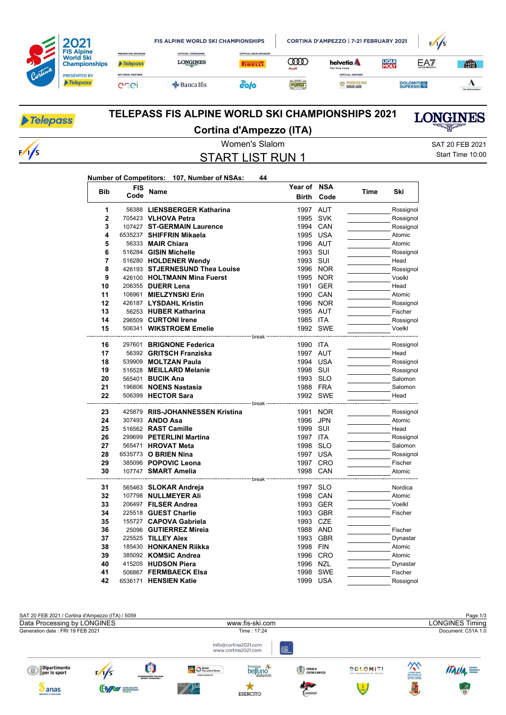| Cortina | <b>FIS Alpine</b><br><b>World Ski</b><br><b>Championships</b><br><b>PRESENTED BY</b><br><b>Telepass</b> |                                       | <b>FIS ALPINE WORLD SKI CHAMPIONSHIPS</b>     |                                              | CORTINA D'AMPEZZO   7-21 FEBRUARY 2021 | F/1/S                                                              |                      |                 |                  |
|---------|---------------------------------------------------------------------------------------------------------|---------------------------------------|-----------------------------------------------|----------------------------------------------|----------------------------------------|--------------------------------------------------------------------|----------------------|-----------------|------------------|
|         |                                                                                                         | PRESENTING SPONSOR<br><b>Telepass</b> | <b>OFFICIAL TIMEKEEPER</b><br><b>LONGINES</b> | <b>OFFICIAL MAIN SPONSOR</b><br><b>TRELL</b> | Œ<br>Audi                              | helvetia A<br>Your Swiss Insurer                                   | <b>LIQUI</b><br>MOLY | EAT             | <b>CATA</b>      |
|         |                                                                                                         | <b>NATIONAL PARTNER</b><br>enei       | $\triangle$ Banca Ifis                        | eolo                                         | FORST                                  | OFFICIAL PARTNER<br><b>AND PROSECCO DOC</b><br><b>TALIAN GENIO</b> |                      | <b>DOLOMITI</b> | THE ADECCO GROUP |

# Telepass

 $\sqrt{2}$ 

### **TELEPASS FIS ALPINE WORLD SKI CHAMPIONSHIPS 2021 Cortina d'Ampezzo (ITA)**

**LONGINES** 

START LIST RUN 1

Women's Slalom SAT 20 FEB 2021 Start Time 10:00

#### **Number of Competitors: 107, Number of NSAs: 44**

| <b>Bib</b> | <b>FIS</b> | <b>Name</b>                                   | Year of NSA                   |            | Time | Ski               |
|------------|------------|-----------------------------------------------|-------------------------------|------------|------|-------------------|
|            | Code       |                                               | <b>Birth</b>                  | Code       |      |                   |
| 1          |            | 56388 LIENSBERGER Katharina                   | 1997 AUT                      |            |      | Rossignol         |
| 2          |            | 705423 VLHOVA Petra                           | 1995 SVK                      |            |      | Rossignol         |
| 3          |            | 107427 ST-GERMAIN Laurence                    | 1994 CAN                      |            |      | Rossignol         |
| 4          |            | 6535237 SHIFFRIN Mikaela                      | 1995 USA                      |            |      | Atomic            |
| 5          |            | 56333 <b>MAIR Chiara</b>                      | 1996 AUT                      |            |      | Atomic            |
| 6          |            | 516284 GISIN Michelle                         | 1993 SUI                      |            |      | Rossignol         |
| 7          |            | 516280 HOLDENER Wendy                         | 1993 SUI                      |            |      | Head              |
| 8          |            | 426193 STJERNESUND Thea Louise                |                               | 1996 NOR   |      | Rossignol         |
| 9          |            | 426100 HOLTMANN Mina Fuerst                   |                               | 1995 NOR   |      | Voelkl            |
| 10         |            | 206355 DUERR Lena                             | 1991                          | <b>GER</b> |      | Head              |
| 11         |            | 106961 MIELZYNSKI Erin                        | 1990 CAN                      |            |      | Atomic            |
| 12         |            | 426187 LYSDAHL Kristin                        |                               | 1996 NOR   |      | Rossignol         |
| 13         |            | 56253 HUBER Katharina                         | 1995 AUT                      |            |      | Fischer           |
| 14         |            | 296509 CURTONI Irene                          | 1985 ITA                      |            |      | Rossignol         |
| 15         |            | 506341 WIKSTROEM Emelie                       |                               | 1992 SWE   |      | Voelkl            |
| 16         |            | 297601 BRIGNONE Federica                      | <sup></sup> break<br>1990 ITA |            |      | Rossignol         |
| 17         |            | 56392 GRITSCH Franziska                       | 1997 AUT                      |            |      | Head              |
| 18         |            | 539909 MOLTZAN Paula                          | 1994 USA                      |            |      | Rossignol         |
| 19         |            | 516528 MEILLARD Melanie                       | 1998 SUI                      |            |      | Rossignol         |
| 20         |            | 565401 BUCIK Ana                              | 1993 SLO                      |            |      | Salomon           |
| 21         |            | 196806 NOENS Nastasia                         | 1988 FRA                      |            |      | Salomon           |
| 22         |            | 506399 HECTOR Sara                            |                               | 1992 SWE   |      | Head              |
|            |            |                                               |                               |            |      |                   |
| 23         |            | 425879 RIIS-JOHANNESSEN Kristina              |                               | 1991 NOR   |      | Rossignol         |
| 24         |            | 307493 ANDO Asa                               | 1996                          | <b>JPN</b> |      | Atomic            |
| 25         |            | 516562 RAST Camille                           | 1999 SUI                      |            |      | Head              |
| 26         |            | 299699 PETERLINI Martina                      | 1997 ITA                      |            |      | Rossignol         |
| 27         |            | 565471 HROVAT Meta                            | 1998                          | <b>SLO</b> |      | Salomon           |
| 28         |            | 6535773 O BRIEN Nina                          | 1997 USA                      |            |      | Rossignol         |
| 29         |            | 385096 POPOVIC Leona                          |                               | 1997 CRO   |      | Fischer           |
| 30         |            | 107747 SMART Amelia                           | 1998 CAN                      |            |      | Atomic            |
|            |            | ------------- break                           |                               |            |      |                   |
| 31<br>32   |            | 565463 SLOKAR Andreja<br>107798 NULLMEYER Ali | 1997 SLO                      | 1998 CAN   |      | Nordica<br>Atomic |
| 33         |            | 206497 FILSER Andrea                          |                               | 1993 GER   |      | Voelkl            |
| 34         |            | 225518 GUEST Charlie                          |                               |            |      | Fischer           |
|            |            |                                               |                               | 1993 GBR   |      |                   |
| 35         |            | 155727 CAPOVA Gabriela                        | 1993 CZE                      |            |      |                   |
| 36         |            | 25096 GUTIERREZ Mireia                        | 1988 AND                      |            |      | Fischer           |
| 37         |            | 225525 TILLEY Alex                            |                               | 1993 GBR   |      | Dynastar          |
| 38         |            | 185430 HONKANEN Riikka                        | 1998 FIN                      |            |      | Atomic            |
| 39         |            | 385092 KOMSIC Andrea                          |                               | 1996 CRO   |      | Atomic            |
| 40         |            | 415205 HUDSON Piera                           | 1996                          | <b>NZL</b> |      | Dynastar          |
| 41         |            | 506867 FERMBAECK Elsa                         |                               | 1998 SWE   |      | Fischer           |
| 42         |            | 6536171 <b>HENSIEN Katie</b>                  | 1999 USA                      |            |      | Rossignol         |

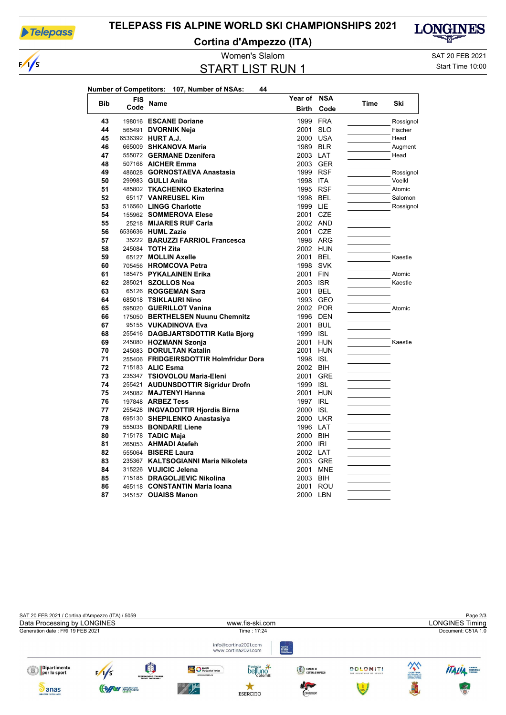

 $\frac{1}{s}$ 

### TELEPASS FIS ALPINE WORLD SKI CHAMPIONSHIPS 2021

**Cortina d'Ampezzo (ITA)** 



Women's Slalom

**START LIST RUN 1** 

SAT 20 FEB 2021

Start Time 10:00

|            |            | 44<br>Number of Competitors: 107, Number of NSAs: |                  |            |      |          |
|------------|------------|---------------------------------------------------|------------------|------------|------|----------|
| <b>Bib</b> | <b>FIS</b> |                                                   | Year of          | <b>NSA</b> |      |          |
|            | Code       | Name                                              | <b>Birth</b>     | Code       | Time | Ski      |
| 43         |            | 198016 ESCANE Doriane                             |                  | 1999 FRA   |      | Rossigno |
| 44         |            | 565491 DVORNIK Neja                               | 2001             | <b>SLO</b> |      | Fischer  |
| 45         |            | 6536392 HURT A.J.                                 | 2000 USA         |            |      | Head     |
| 46         |            | 665009 SHKANOVA Maria                             | 1989 BLR         |            |      | Augment  |
| 47         |            | 555072 GERMANE Dzenifera                          | 2003 LAT         |            |      | Head     |
| 48         |            | 507168 AICHER Emma                                |                  | 2003 GER   |      |          |
| 49         |            | 486028 GORNOSTAEVA Anastasia                      | 1999 RSF         |            |      | Rossigno |
| 50         |            | 299983 GULLI Anita                                | 1998 ITA         |            |      | Voelkl   |
| 51         |            | 485802 TKACHENKO Ekaterina                        | 1995 RSF         |            |      | Atomic   |
| 52         |            | 65117 VANREUSEL Kim                               | 1998 BEL         |            |      | Salomon  |
| 53         |            | 516560 LINGG Charlotte                            | 1999 LIE         |            |      | Rossigno |
| 54         |            | 155962 SOMMEROVA Elese                            | 2001 CZE         |            |      |          |
| 55         |            | 25218 MIJARES RUF Carla                           | 2002 AND         |            |      |          |
| 56         |            | 6536636 HUML Zazie                                | 2001 CZE         |            |      |          |
| 57         |            | 35222 BARUZZI FARRIOL Francesca                   |                  | 1998 ARG   |      |          |
| 58         |            | 245084 TOTH Zita                                  |                  | 2002 HUN   |      |          |
| 59         |            | 65127 MOLLIN Axelle                               | 2001 BEL         |            |      | Kaestle  |
| 60         |            | 705456 HROMCOVA Petra                             |                  | 1998 SVK   |      |          |
| 61         |            | 185475 PYKALAINEN Erika                           | 2001 FIN         |            |      | Atomic   |
| 62         |            | 285021 SZOLLOS Noa                                | 2003 ISR         |            |      | Kaestle  |
| 63         |            | 65126 ROGGEMAN Sara                               | 2001 BEL         |            |      |          |
| 64         |            | 685018 TSIKLAURI Nino                             |                  | 1993 GEO   |      |          |
| 65         |            | 595020 GUERILLOT Vanina                           |                  | 2002 POR   |      | Atomic   |
| 66         |            | 175050 BERTHELSEN Nuunu Chemnitz                  |                  | 1996 DEN   |      |          |
| 67         |            | 95155 VUKADINOVA Eva                              | 2001 BUL         |            |      |          |
| 68         |            | 255416 DAGBJARTSDOTTIR Katla Bjorg                | 1999 ISL         |            |      |          |
| 69         |            | 245080 HOZMANN Szonja                             |                  | 2001 HUN   |      | Kaestle  |
| 70         |            | 245083 DORULTAN Katalin                           |                  | 2001 HUN   |      |          |
| 71         |            | 255406 FRIDGEIRSDOTTIR Holmfridur Dora            | 1998 ISL         |            |      |          |
| 72         |            | 715183 ALIC Esma                                  | 2002 BIH         |            |      |          |
| 73<br>74   |            | 235347 TSIOVOLOU Maria-Eleni                      |                  | 2001 GRE   |      |          |
| 75         |            | 255421 AUDUNSDOTTIR Sigridur Drofn                | 1999 ISL         | HUN        |      |          |
| 76         |            | 245082 MAJTENYI Hanna<br>197848 ARBEZ Tess        | 2001<br>1997 IRL |            |      |          |
| 77         |            | 255428 INGVADOTTIR Hjordis Birna                  | 2000 ISL         |            |      |          |
| 78         |            | 695130 SHEPILENKO Anastasiya                      |                  | 2000 UKR   |      |          |
| 79         |            | 555035 BONDARE Liene                              | 1996 LAT         |            |      |          |
| 80         |            | 715178 TADIC Maja                                 | 2000 BIH         |            |      |          |
| 81         |            | 265053 AHMADI Atefeh                              | 2000 IRI         |            |      |          |
| 82         |            | 555064 <b>BISERE Laura</b>                        | 2002 LAT         |            |      |          |
| 83         |            | 235367 KALTSOGIANNI Maria Nikoleta                |                  | 2003 GRE   |      |          |
| 84         |            | 315226 VUJICIC Jelena                             |                  | 2001 MNE   |      |          |
| 85         |            | 715185 DRAGOLJEVIC Nikolina                       | 2003 BIH         |            |      |          |
| 86         |            | 465118 CONSTANTIN Maria Ioana                     |                  | 2001 ROU   |      |          |
| 87         |            | 345157 OUAISS Manon                               | 2000 LBN         |            |      |          |
|            |            |                                                   |                  |            |      |          |